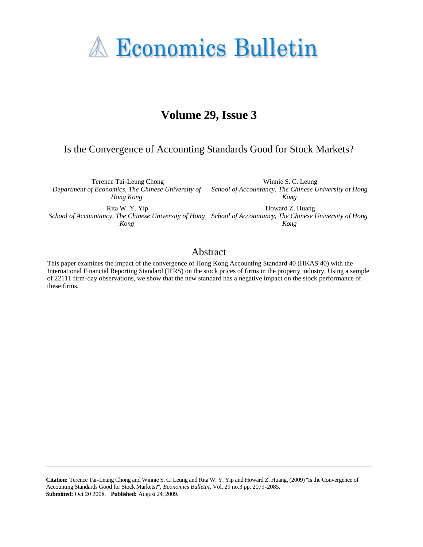**A Economics Bulletin** 

# **Volume 29, Issue 3**

## Is the Convergence of Accounting Standards Good for Stock Markets?

Terence Tai-Leung Chong *Department of Economics, The Chinese University of Hong Kong*

Rita W. Y. Yip

*Kong*

Winnie S. C. Leung *School of Accountancy, The Chinese University of Hong Kong*

*School of Accountancy, The Chinese University of Hong School of Accountancy, The Chinese University of Hong*  Howard Z. Huang *Kong*

### Abstract

This paper examines the impact of the convergence of Hong Kong Accounting Standard 40 (HKAS 40) with the International Financial Reporting Standard (IFRS) on the stock prices of firms in the property industry. Using a sample of 22111 firm-day observations, we show that the new standard has a negative impact on the stock performance of these firms.

**Citation:** Terence Tai-Leung Chong and Winnie S. C. Leung and Rita W. Y. Yip and Howard Z. Huang, (2009) ''Is the Convergence of Accounting Standards Good for Stock Markets?'', *Economics Bulletin*, Vol. 29 no.3 pp. 2079-2085. **Submitted:** Oct 20 2008. **Published:** August 24, 2009.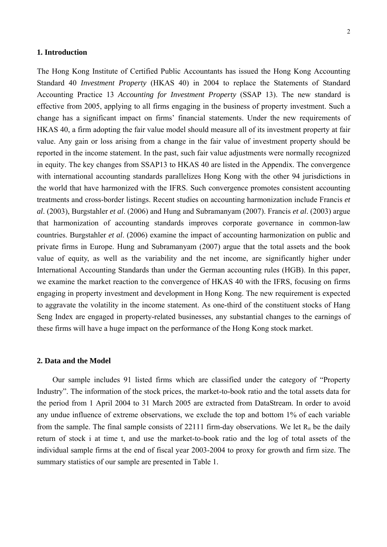#### **1. Introduction**

The Hong Kong Institute of Certified Public Accountants has issued the Hong Kong Accounting Standard 40 *Investment Property* (HKAS 40) in 2004 to replace the Statements of Standard Accounting Practice 13 *Accounting for Investment Property* (SSAP 13). The new standard is effective from 2005, applying to all firms engaging in the business of property investment. Such a change has a significant impact on firms' financial statements. Under the new requirements of HKAS 40, a firm adopting the fair value model should measure all of its investment property at fair value. Any gain or loss arising from a change in the fair value of investment property should be reported in the income statement. In the past, such fair value adjustments were normally recognized in equity. The key changes from SSAP13 to HKAS 40 are listed in the Appendix. The convergence with international accounting standards parallelizes Hong Kong with the other 94 jurisdictions in the world that have harmonized with the IFRS. Such convergence promotes consistent accounting treatments and cross-border listings. Recent studies on accounting harmonization include Francis *et al*. (2003), Burgstahler *et al*. (2006) and Hung and Subramanyam (2007). Francis *et al*. (2003) argue that harmonization of accounting standards improves corporate governance in common-law countries. Burgstahler *et al*. (2006) examine the impact of accounting harmonization on public and private firms in Europe. Hung and Subramanyam (2007) argue that the total assets and the book value of equity, as well as the variability and the net income, are significantly higher under International Accounting Standards than under the German accounting rules (HGB). In this paper, we examine the market reaction to the convergence of HKAS 40 with the IFRS, focusing on firms engaging in property investment and development in Hong Kong. The new requirement is expected to aggravate the volatility in the income statement. As one-third of the constituent stocks of Hang Seng Index are engaged in property-related businesses, any substantial changes to the earnings of these firms will have a huge impact on the performance of the Hong Kong stock market.

#### **2. Data and the Model**

Our sample includes 91 listed firms which are classified under the category of "Property Industry". The information of the stock prices, the market-to-book ratio and the total assets data for the period from 1 April 2004 to 31 March 2005 are extracted from DataStream. In order to avoid any undue influence of extreme observations, we exclude the top and bottom 1% of each variable from the sample. The final sample consists of 22111 firm-day observations. We let  $R_{it}$  be the daily return of stock i at time t, and use the market-to-book ratio and the log of total assets of the individual sample firms at the end of fiscal year 2003-2004 to proxy for growth and firm size. The summary statistics of our sample are presented in Table 1.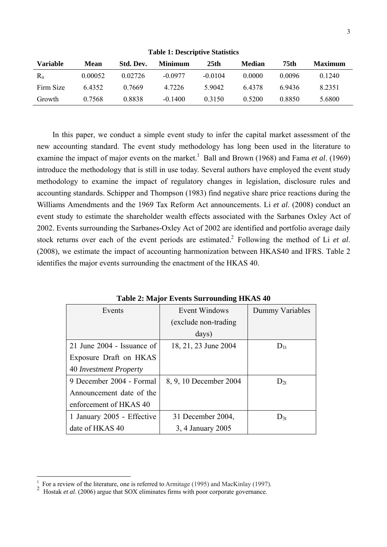| Table 1: Descriptive Statistics |         |           |                |                  |               |        |                |  |  |  |
|---------------------------------|---------|-----------|----------------|------------------|---------------|--------|----------------|--|--|--|
| <b>Variable</b>                 | Mean    | Std. Dev. | <b>Minimum</b> | 25 <sub>th</sub> | <b>Median</b> | 75th   | <b>Maximum</b> |  |  |  |
| $R_{it}$                        | 0.00052 | 0.02726   | $-0.0977$      | $-0.0104$        | 0.0000        | 0.0096 | 0.1240         |  |  |  |
| Firm Size                       | 6.4352  | 0.7669    | 4.7226         | 5.9042           | 64378         | 69436  | 8.2351         |  |  |  |
| Growth                          | 0.7568  | 0.8838    | $-0.1400$      | 0.3150           | 0.5200        | 0.8850 | 5.6800         |  |  |  |

**Table 1: Descriptive Statistics** 

In this paper, we conduct a simple event study to infer the capital market assessment of the new accounting standard. The event study methodology has long been used in the literature to examine the impact of major events on the market.<sup>1</sup> Ball and Brown (1968) and Fama *et al.* (1969) introduce the methodology that is still in use today. Several authors have employed the event study methodology to examine the impact of regulatory changes in legislation, disclosure rules and accounting standards. Schipper and Thompson (1983) find negative share price reactions during the Williams Amendments and the 1969 Tax Reform Act announcements. Li *et al*. (2008) conduct an event study to estimate the shareholder wealth effects associated with the Sarbanes Oxley Act of 2002. Events surrounding the Sarbanes-Oxley Act of 2002 are identified and portfolio average daily stock returns over each of the event periods are estimated.<sup>2</sup> Following the method of Li *et al.* (2008), we estimate the impact of accounting harmonization between HKAS40 and IFRS. Table 2 identifies the major events surrounding the enactment of the HKAS 40.

| Events                     | Event Windows          | Dummy Variables |  |
|----------------------------|------------------------|-----------------|--|
|                            | (exclude non-trading)  |                 |  |
|                            | days)                  |                 |  |
| 21 June 2004 - Issuance of | 18, 21, 23 June 2004   | $D_{1t}$        |  |
| Exposure Draft on HKAS     |                        |                 |  |
| 40 Investment Property     |                        |                 |  |
| 9 December 2004 - Formal   | 8, 9, 10 December 2004 | $D_{2t}$        |  |
| Announcement date of the   |                        |                 |  |
| enforcement of HKAS 40     |                        |                 |  |
| 1 January 2005 - Effective | 31 December 2004,      | $D_{3t}$        |  |
| date of HKAS 40            | 3, 4 January 2005      |                 |  |

**Table 2: Major Events Surrounding HKAS 40** 

 $\overline{a}$ 

<sup>1</sup> For a review of the literature, one is referred to Armitage (1995) and MacKinlay (1997).<br>Hostak *et al.* (2006) argue that SOX eliminates firms with poor corporate governance.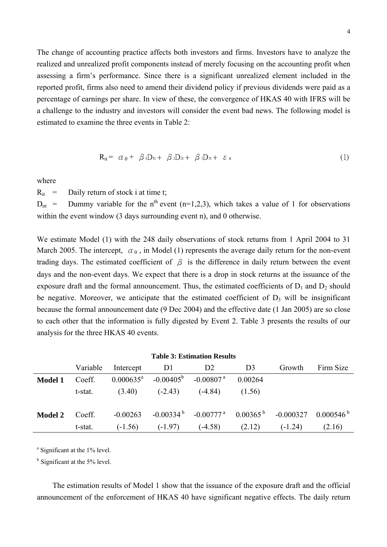The change of accounting practice affects both investors and firms. Investors have to analyze the realized and unrealized profit components instead of merely focusing on the accounting profit when assessing a firm's performance. Since there is a significant unrealized element included in the reported profit, firms also need to amend their dividend policy if previous dividends were paid as a percentage of earnings per share. In view of these, the convergence of HKAS 40 with IFRS will be a challenge to the industry and investors will consider the event bad news. The following model is estimated to examine the three events in Table 2:

$$
R_{it} = \alpha_0 + \beta_1 D_{it} + \beta_2 D_{2t} + \beta_3 D_{3t} + \varepsilon_{it}
$$
 (1)

where

 $R_{it}$  = Daily return of stock i at time t;

 $D_{nt}$  = Dummy variable for the n<sup>th</sup> event (n=1,2,3), which takes a value of 1 for observations within the event window (3 days surrounding event n), and 0 otherwise.

We estimate Model (1) with the 248 daily observations of stock returns from 1 April 2004 to 31 March 2005. The intercept,  $\alpha_0$ , in Model (1) represents the average daily return for the non-event trading days. The estimated coefficient of  $\beta$  is the difference in daily return between the event days and the non-event days. We expect that there is a drop in stock returns at the issuance of the exposure draft and the formal announcement. Thus, the estimated coefficients of  $D_1$  and  $D_2$  should be negative. Moreover, we anticipate that the estimated coefficient of  $D_3$  will be insignificant because the formal announcement date (9 Dec 2004) and the effective date (1 Jan 2005) are so close to each other that the information is fully digested by Event 2. Table 3 presents the results of our analysis for the three HKAS 40 events.

| <b>Table 3: Estimation Results</b> |          |                       |                                       |                                                         |                |           |                         |  |  |
|------------------------------------|----------|-----------------------|---------------------------------------|---------------------------------------------------------|----------------|-----------|-------------------------|--|--|
|                                    | Variable | Intercept             | DI                                    | D <sub>2</sub>                                          | D <sub>3</sub> | Growth    | Firm Size               |  |  |
| <b>Model 1</b>                     | Coeff.   | $0.000635^{\text{a}}$ | $-0.00405^{\rm b}$ $-0.00807^{\rm a}$ |                                                         | 0.00264        |           |                         |  |  |
|                                    | t-stat.  | (3.40)                | $(-2.43)$                             | $(-4.84)$                                               | (1.56)         |           |                         |  |  |
| <b>Model 2</b>                     | Coeff.   | $-0.00263$            |                                       | $-0.00334^{b}$ $-0.00777^{a}$ $0.00365^{b}$ $-0.000327$ |                |           | $0.000546^{\mathrm{b}}$ |  |  |
|                                    | t-stat.  | $(-1.56)$             | $(-1.97)$                             | $(-4.58)$                                               | (2.12)         | $(-1.24)$ | (2.16)                  |  |  |

<sup>a</sup> Significant at the 1% level.

<sup>b</sup> Significant at the 5% level.

The estimation results of Model 1 show that the issuance of the exposure draft and the official announcement of the enforcement of HKAS 40 have significant negative effects. The daily return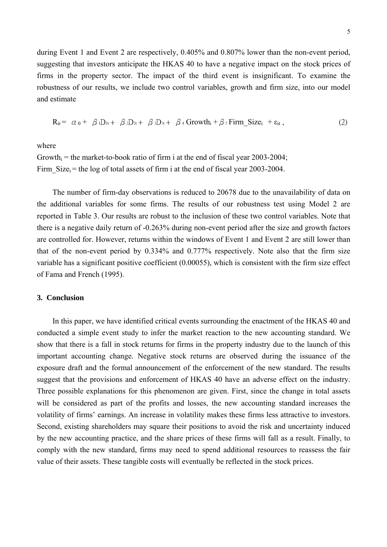during Event 1 and Event 2 are respectively, 0.405% and 0.807% lower than the non-event period, suggesting that investors anticipate the HKAS 40 to have a negative impact on the stock prices of firms in the property sector. The impact of the third event is insignificant. To examine the robustness of our results, we include two control variables, growth and firm size, into our model and estimate

$$
R_{it} = \alpha_0 + \beta_1 D_{it} + \beta_2 D_{2t} + \beta_3 D_{3t} + \beta_4 Growth_i + \beta_5 Firm\_Size_i + \epsilon_{it},
$$
\n(2)

where

Growth $i =$  the market-to-book ratio of firm i at the end of fiscal year 2003-2004; Firm  $Size_i$  = the log of total assets of firm i at the end of fiscal year 2003-2004.

The number of firm-day observations is reduced to 20678 due to the unavailability of data on the additional variables for some firms. The results of our robustness test using Model 2 are reported in Table 3. Our results are robust to the inclusion of these two control variables. Note that there is a negative daily return of -0.263% during non-event period after the size and growth factors are controlled for. However, returns within the windows of Event 1 and Event 2 are still lower than that of the non-event period by 0.334% and 0.777% respectively. Note also that the firm size variable has a significant positive coefficient (0.00055), which is consistent with the firm size effect of Fama and French (1995).

#### **3. Conclusion**

In this paper, we have identified critical events surrounding the enactment of the HKAS 40 and conducted a simple event study to infer the market reaction to the new accounting standard. We show that there is a fall in stock returns for firms in the property industry due to the launch of this important accounting change. Negative stock returns are observed during the issuance of the exposure draft and the formal announcement of the enforcement of the new standard. The results suggest that the provisions and enforcement of HKAS 40 have an adverse effect on the industry. Three possible explanations for this phenomenon are given. First, since the change in total assets will be considered as part of the profits and losses, the new accounting standard increases the volatility of firms' earnings. An increase in volatility makes these firms less attractive to investors. Second, existing shareholders may square their positions to avoid the risk and uncertainty induced by the new accounting practice, and the share prices of these firms will fall as a result. Finally, to comply with the new standard, firms may need to spend additional resources to reassess the fair value of their assets. These tangible costs will eventually be reflected in the stock prices.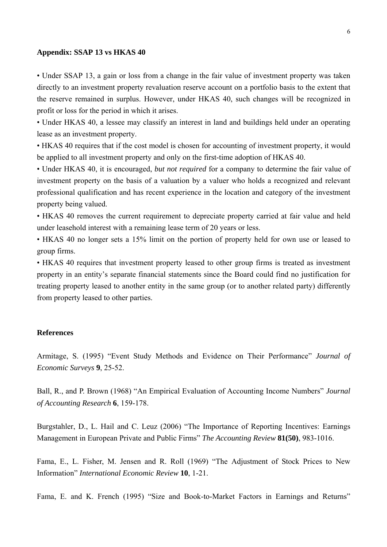#### **Appendix: SSAP 13 vs HKAS 40**

• Under SSAP 13, a gain or loss from a change in the fair value of investment property was taken directly to an investment property revaluation reserve account on a portfolio basis to the extent that the reserve remained in surplus. However, under HKAS 40, such changes will be recognized in profit or loss for the period in which it arises.

• Under HKAS 40, a lessee may classify an interest in land and buildings held under an operating lease as an investment property.

• HKAS 40 requires that if the cost model is chosen for accounting of investment property, it would be applied to all investment property and only on the first-time adoption of HKAS 40.

• Under HKAS 40, it is encouraged, *but not required* for a company to determine the fair value of investment property on the basis of a valuation by a valuer who holds a recognized and relevant professional qualification and has recent experience in the location and category of the investment property being valued.

• HKAS 40 removes the current requirement to depreciate property carried at fair value and held under leasehold interest with a remaining lease term of 20 years or less.

• HKAS 40 no longer sets a 15% limit on the portion of property held for own use or leased to group firms.

• HKAS 40 requires that investment property leased to other group firms is treated as investment property in an entity's separate financial statements since the Board could find no justification for treating property leased to another entity in the same group (or to another related party) differently from property leased to other parties.

#### **References**

Armitage, S. (1995) "Event Study Methods and Evidence on Their Performance" *Journal of Economic Surveys* **9**, 25-52.

Ball, R., and P. Brown (1968) "An Empirical Evaluation of Accounting Income Numbers" *Journal of Accounting Research* **6**, 159-178.

Burgstahler, D., L. Hail and C. Leuz (2006) "The Importance of Reporting Incentives: Earnings Management in European Private and Public Firms" *The Accounting Review* **81(50)**, 983-1016.

Fama, E., L. Fisher, M. Jensen and R. Roll (1969) "The Adjustment of Stock Prices to New Information" *International Economic Review* **10**, 1-21.

Fama, E. and K. French (1995) "Size and Book-to-Market Factors in Earnings and Returns"